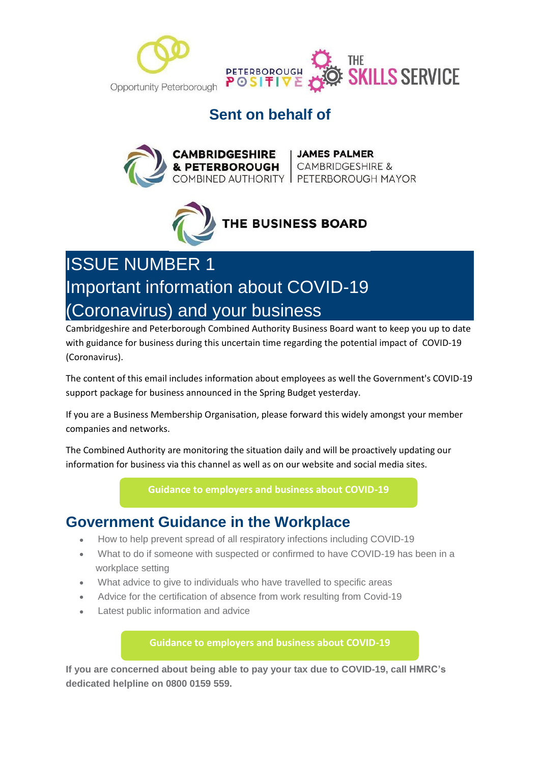



### **Sent on behalf of**





# ISSUE NUMBER 1 Important information about COVID-19 (Coronavirus) and your business

Cambridgeshire and Peterborough Combined Authority Business Board want to keep you up to date with guidance for business during this uncertain time regarding the potential impact of COVID-19 (Coronavirus).

The content of this email includes information about employees as well the Government's COVID-19 support package for business announced in the Spring Budget yesterday.

If you are a Business Membership Organisation, please forward this widely amongst your member companies and networks.

The Combined Authority are monitoring the situation daily and will be proactively updating our information for business via this channel as well as on our website and social media sites.

#### **[Guidance to employers and business about COVID-19](https://www.gov.uk/government/publications/guidance-to-employers-and-businesses-about-covid-19?utm_source=hs_email&utm_medium=email&utm_content=2&_hsenc=p2ANqtz-_8ljY9XCSyZgA-bjEYY70PPuuQgpUq3XKA9eXRcCbNQavh2grL5YNnxRuUCHzo_NG1TwyswVSqbTxvjSdI8kKPs9ziTRtLXSKkJr3zZxxflxhr8UGsSkqdZat4Hb3dwv7uEeH9&_hsmi=2)**

### **Government Guidance in the Workplace**

- How to help prevent spread of all respiratory infections including COVID-19
- What to do if someone with suspected or confirmed to have COVID-19 has been in a workplace setting
- What advice to give to individuals who have travelled to specific areas
- Advice for the certification of absence from work resulting from Covid-19
- Latest public information and advice

**[Guidance to employers and business about COVID-19](https://www.gov.uk/government/publications/guidance-to-employers-and-businesses-about-covid-19?utm_source=hs_email&utm_medium=email&utm_content=2&_hsenc=p2ANqtz-_8ljY9XCSyZgA-bjEYY70PPuuQgpUq3XKA9eXRcCbNQavh2grL5YNnxRuUCHzo_NG1TwyswVSqbTxvjSdI8kKPs9ziTRtLXSKkJr3zZxxflxhr8UGsSkqdZat4Hb3dwv7uEeH9&_hsmi=2)**

**If you are concerned about being able to pay your tax due to COVID-19, call HMRC's dedicated helpline on 0800 0159 559.**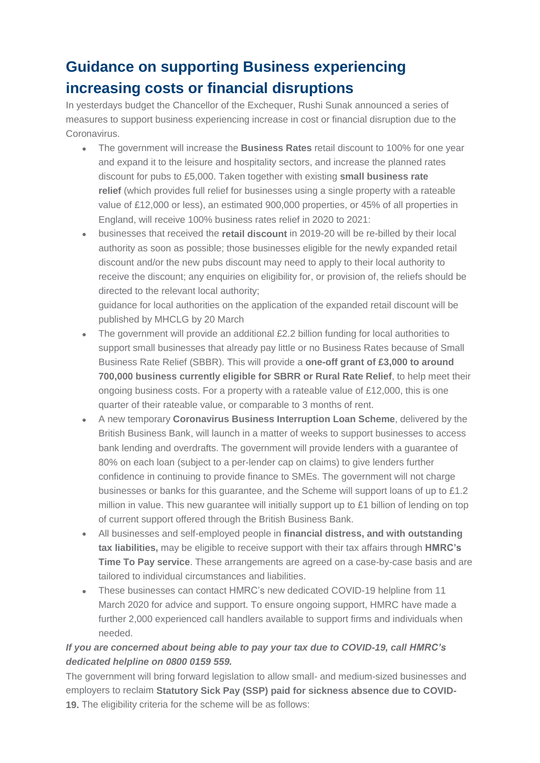## **Guidance on supporting Business experiencing increasing costs or financial disruptions**

In yesterdays budget the Chancellor of the Exchequer, Rushi Sunak announced a series of measures to support business experiencing increase in cost or financial disruption due to the Coronavirus.

- The government will increase the **Business Rates** retail discount to 100% for one year and expand it to the leisure and hospitality sectors, and increase the planned rates discount for pubs to £5,000. Taken together with existing **small business rate relief** (which provides full relief for businesses using a single property with a rateable value of £12,000 or less), an estimated 900,000 properties, or 45% of all properties in England, will receive 100% business rates relief in 2020 to 2021:
- businesses that received the **retail discount** in 2019-20 will be re-billed by their local authority as soon as possible; those businesses eligible for the newly expanded retail discount and/or the new pubs discount may need to apply to their local authority to receive the discount; any enquiries on eligibility for, or provision of, the reliefs should be directed to the relevant local authority;

guidance for local authorities on the application of the expanded retail discount will be published by MHCLG by 20 March

- The government will provide an additional  $£2.2$  billion funding for local authorities to support small businesses that already pay little or no Business Rates because of Small Business Rate Relief (SBBR). This will provide a **one-off grant of £3,000 to around 700,000 business currently eligible for SBRR or Rural Rate Relief**, to help meet their ongoing business costs. For a property with a rateable value of £12,000, this is one quarter of their rateable value, or comparable to 3 months of rent.
- A new temporary **Coronavirus Business Interruption Loan Scheme**, delivered by the British Business Bank, will launch in a matter of weeks to support businesses to access bank lending and overdrafts. The government will provide lenders with a guarantee of 80% on each loan (subject to a per-lender cap on claims) to give lenders further confidence in continuing to provide finance to SMEs. The government will not charge businesses or banks for this guarantee, and the Scheme will support loans of up to £1.2 million in value. This new guarantee will initially support up to £1 billion of lending on top of current support offered through the British Business Bank.
- All businesses and self-employed people in **financial distress, and with outstanding tax liabilities,** may be eligible to receive support with their tax affairs through **HMRC's Time To Pay service**. These arrangements are agreed on a case-by-case basis and are tailored to individual circumstances and liabilities.
- These businesses can contact HMRC's new dedicated COVID-19 helpline from 11 March 2020 for advice and support. To ensure ongoing support, HMRC have made a further 2,000 experienced call handlers available to support firms and individuals when needed.

### *If you are concerned about being able to pay your tax due to COVID-19, call HMRC's dedicated helpline on 0800 0159 559.*

The government will bring forward legislation to allow small- and medium-sized businesses and employers to reclaim **Statutory Sick Pay (SSP) paid for sickness absence due to COVID-19.** The eligibility criteria for the scheme will be as follows: